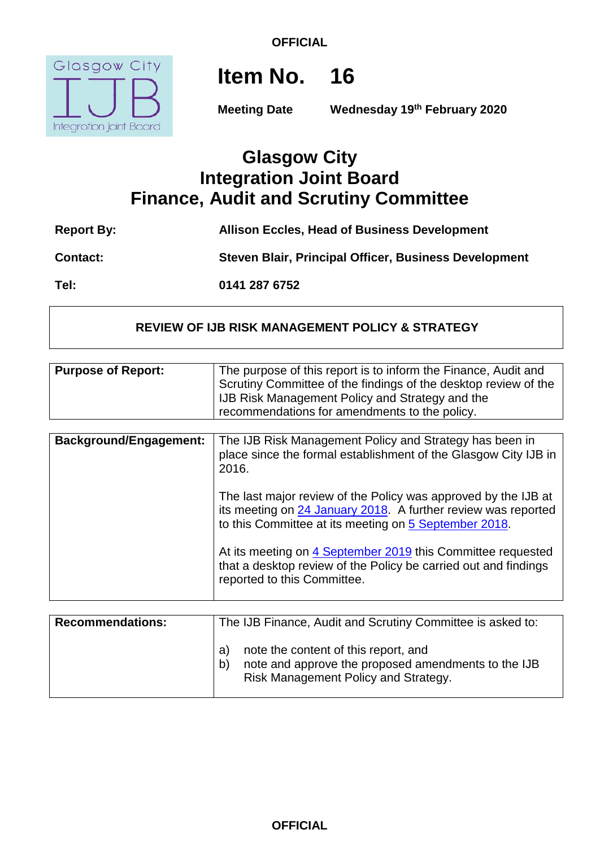**OFFICIAL**



**Item No. 16**

**Meeting Date Wednesday 19th February 2020**

## **Glasgow City Integration Joint Board Finance, Audit and Scrutiny Committee**

| <b>Report By:</b> | <b>Allison Eccles, Head of Business Development</b>   |
|-------------------|-------------------------------------------------------|
| <b>Contact:</b>   | Steven Blair, Principal Officer, Business Development |
| Tel:              | 0141 287 6752                                         |

#### **REVIEW OF IJB RISK MANAGEMENT POLICY & STRATEGY**

| <b>Purpose of Report:</b>     | The purpose of this report is to inform the Finance, Audit and<br>Scrutiny Committee of the findings of the desktop review of the<br>IJB Risk Management Policy and Strategy and the<br>recommendations for amendments to the policy.                                                                                                                                                                                                                                                            |
|-------------------------------|--------------------------------------------------------------------------------------------------------------------------------------------------------------------------------------------------------------------------------------------------------------------------------------------------------------------------------------------------------------------------------------------------------------------------------------------------------------------------------------------------|
| <b>Background/Engagement:</b> | The IJB Risk Management Policy and Strategy has been in<br>place since the formal establishment of the Glasgow City IJB in<br>2016.<br>The last major review of the Policy was approved by the IJB at<br>its meeting on 24 January 2018. A further review was reported<br>to this Committee at its meeting on 5 September 2018.<br>At its meeting on 4 September 2019 this Committee requested<br>that a desktop review of the Policy be carried out and findings<br>reported to this Committee. |

| <b>Recommendations:</b> | The IJB Finance, Audit and Scrutiny Committee is asked to:                                                                                      |
|-------------------------|-------------------------------------------------------------------------------------------------------------------------------------------------|
|                         | note the content of this report, and<br>a)<br>note and approve the proposed amendments to the IJB<br>b'<br>Risk Management Policy and Strategy. |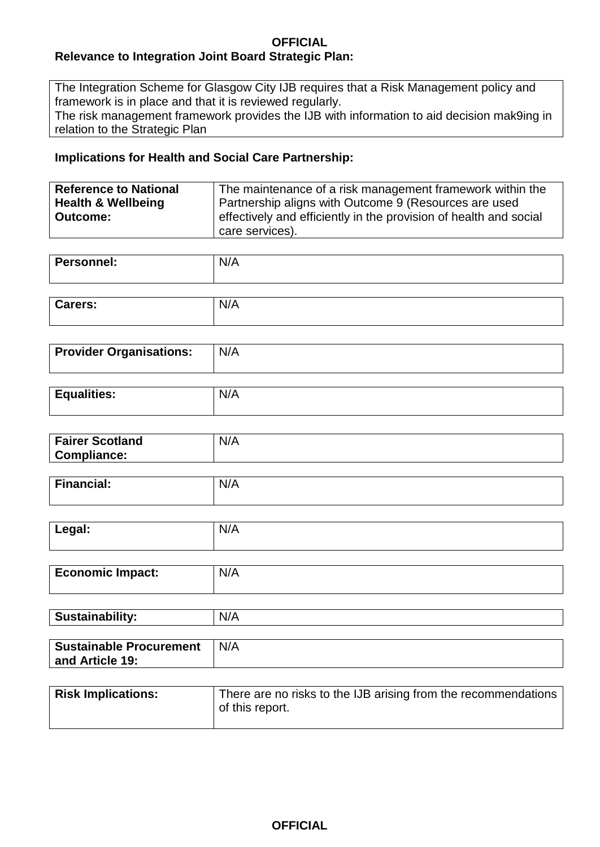#### **OFFICIAL Relevance to Integration Joint Board Strategic Plan:**

The Integration Scheme for Glasgow City IJB requires that a Risk Management policy and framework is in place and that it is reviewed regularly.

The risk management framework provides the IJB with information to aid decision mak9ing in relation to the Strategic Plan

#### **Implications for Health and Social Care Partnership:**

| <b>Reference to National</b>  | The maintenance of a risk management framework within the         |
|-------------------------------|-------------------------------------------------------------------|
| <b>Health &amp; Wellbeing</b> | Partnership aligns with Outcome 9 (Resources are used             |
| Outcome:                      | effectively and efficiently in the provision of health and social |
|                               | care services).                                                   |

| <b>Personnel:</b> | N/A |
|-------------------|-----|
|                   |     |
| <b>Carers:</b>    | N/A |

| <b>Provider Organisations:</b> | N/A |
|--------------------------------|-----|
|                                |     |

| <b>Equalities:</b> | .<br>N.<br>$\mathbf{v}$ |
|--------------------|-------------------------|
|                    |                         |

| Fairer Scotland<br>Compliance: | N/A |
|--------------------------------|-----|
|                                |     |

| <b>Property</b><br>∖ancial:<br>$- -$ | .<br>N/A |
|--------------------------------------|----------|
|                                      |          |

| Legal:                  | N/A |
|-------------------------|-----|
| <b>Economic Impact:</b> | N/A |

| <b>Sustainability:</b>         | N/A |
|--------------------------------|-----|
|                                |     |
| <b>Sustainable Procurement</b> | N/A |
| and Article 19:                |     |

| <b>Risk Implications:</b> | There are no risks to the IJB arising from the recommendations<br>of this report. |
|---------------------------|-----------------------------------------------------------------------------------|
|                           |                                                                                   |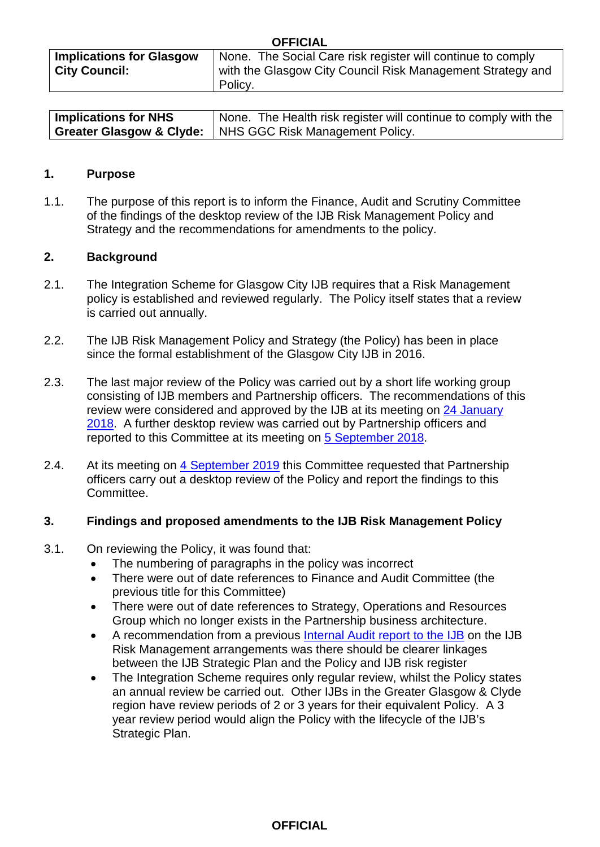| UFFIVIAL                        |                                                             |  |  |
|---------------------------------|-------------------------------------------------------------|--|--|
| <b>Implications for Glasgow</b> | None. The Social Care risk register will continue to comply |  |  |
| <b>City Council:</b>            | with the Glasgow City Council Risk Management Strategy and  |  |  |
|                                 | Policy.                                                     |  |  |

**OFFICIAL**

| <b>Implications for NHS</b> | None. The Health risk register will continue to comply with the     |
|-----------------------------|---------------------------------------------------------------------|
|                             | <b>Greater Glasgow &amp; Clyde:</b> NHS GGC Risk Management Policy. |

#### **1. Purpose**

1.1. The purpose of this report is to inform the Finance, Audit and Scrutiny Committee of the findings of the desktop review of the IJB Risk Management Policy and Strategy and the recommendations for amendments to the policy.

#### **2. Background**

- 2.1. The Integration Scheme for Glasgow City IJB requires that a Risk Management policy is established and reviewed regularly. The Policy itself states that a review is carried out annually.
- 2.2. The IJB Risk Management Policy and Strategy (the Policy) has been in place since the formal establishment of the Glasgow City IJB in 2016.
- 2.3. The last major review of the Policy was carried out by a short life working group consisting of IJB members and Partnership officers. The recommendations of this review were considered and approved by the IJB at its meeting on [24 January](https://glasgowcity.hscp.scot/meeting/24-january-2018)  [2018.](https://glasgowcity.hscp.scot/meeting/24-january-2018) A further desktop review was carried out by Partnership officers and reported to this Committee at its meeting on [5 September 2018.](https://glasgowcity.hscp.scot/meeting/5-september-2018)
- 2.4. At its meeting on [4 September 2019](https://glasgowcity.hscp.scot/meeting/4-september-2019) this Committee requested that Partnership officers carry out a desktop review of the Policy and report the findings to this Committee.

#### **3. Findings and proposed amendments to the IJB Risk Management Policy**

- 3.1. On reviewing the Policy, it was found that:
	- The numbering of paragraphs in the policy was incorrect
	- There were out of date references to Finance and Audit Committee (the previous title for this Committee)
	- There were out of date references to Strategy, Operations and Resources Group which no longer exists in the Partnership business architecture.
	- A recommendation from a previous [Internal Audit report to the IJB](https://glasgowcity.hscp.scot/sites/default/files/publications/ITEM%20No%2006%20-%20Review%20of%20Risk%20Management%20Arrangements.pdf) on the IJB Risk Management arrangements was there should be clearer linkages between the IJB Strategic Plan and the Policy and IJB risk register
	- The Integration Scheme requires only regular review, whilst the Policy states an annual review be carried out. Other IJBs in the Greater Glasgow & Clyde region have review periods of 2 or 3 years for their equivalent Policy. A 3 year review period would align the Policy with the lifecycle of the IJB's Strategic Plan.

#### **OFFICIAL**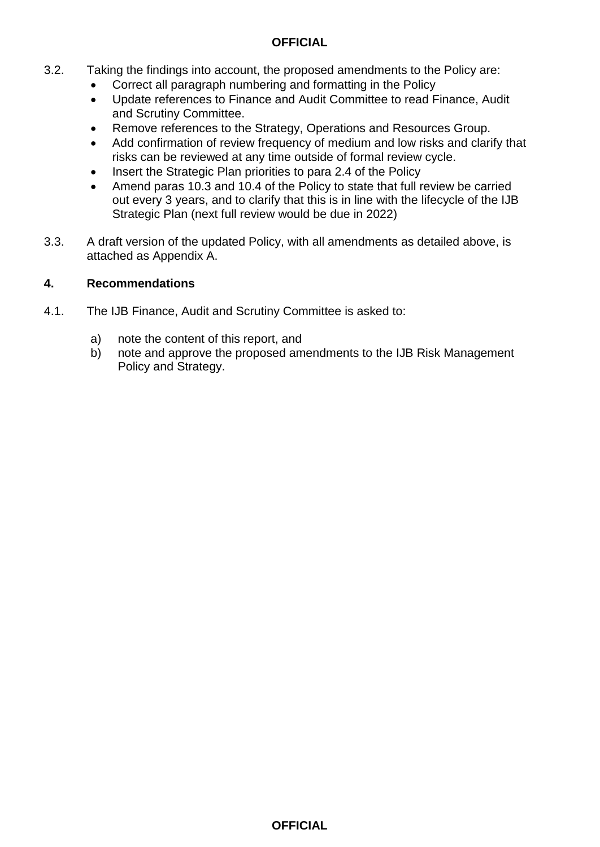#### **OFFICIAL**

- 3.2. Taking the findings into account, the proposed amendments to the Policy are:
	- Correct all paragraph numbering and formatting in the Policy
	- Update references to Finance and Audit Committee to read Finance, Audit and Scrutiny Committee.
	- Remove references to the Strategy, Operations and Resources Group.
	- Add confirmation of review frequency of medium and low risks and clarify that risks can be reviewed at any time outside of formal review cycle.
	- Insert the Strategic Plan priorities to para 2.4 of the Policy
	- Amend paras 10.3 and 10.4 of the Policy to state that full review be carried out every 3 years, and to clarify that this is in line with the lifecycle of the IJB Strategic Plan (next full review would be due in 2022)
- 3.3. A draft version of the updated Policy, with all amendments as detailed above, is attached as Appendix A.

#### **4. Recommendations**

- 4.1. The IJB Finance, Audit and Scrutiny Committee is asked to:
	- a) note the content of this report, and
	- b) note and approve the proposed amendments to the IJB Risk Management Policy and Strategy.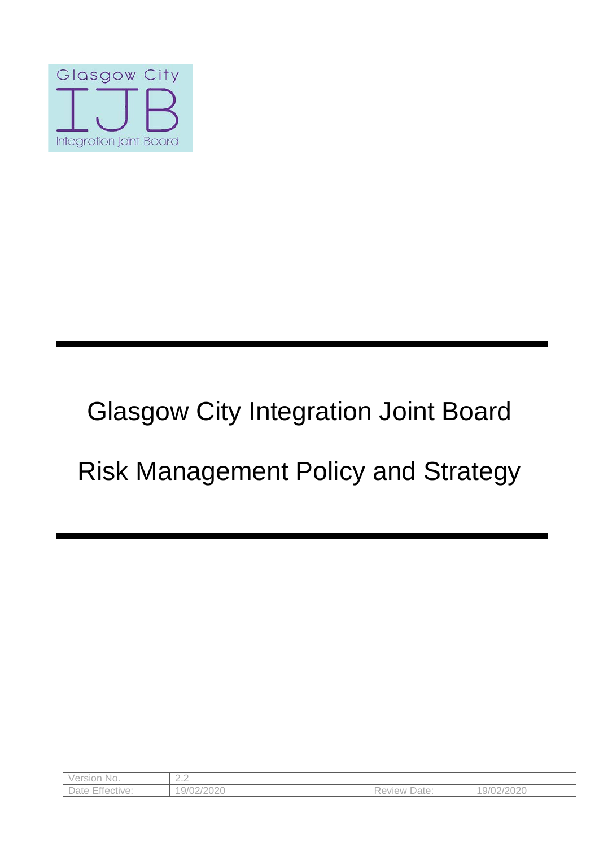

# Glasgow City Integration Joint Board

## Risk Management Policy and Strategy

| Version No.     | $\cap$ $\cap$<br>$-\cdot$ |                   |            |
|-----------------|---------------------------|-------------------|------------|
| Date Effective: | 9/02/2020                 | Date:<br>Review L | 19/02/2020 |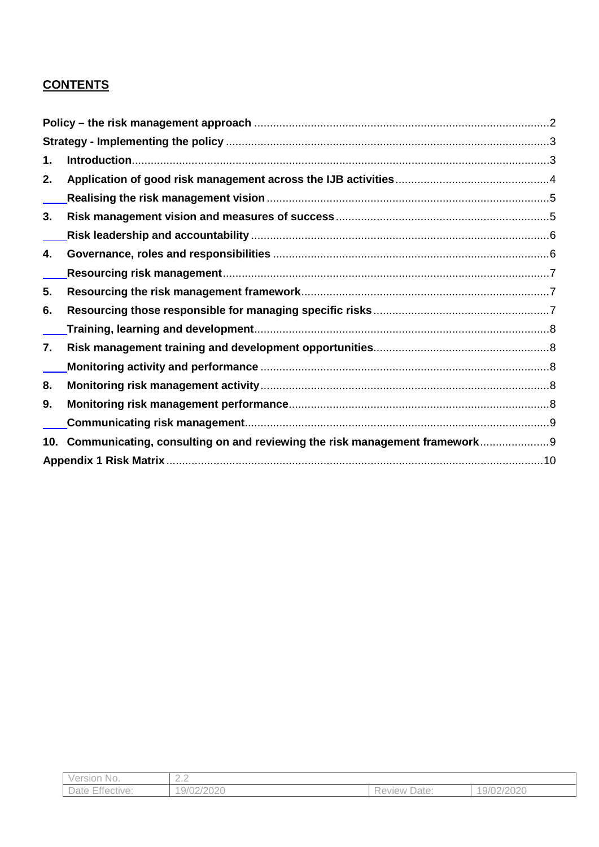#### **CONTENTS**

| 1.  |                                                                          |    |
|-----|--------------------------------------------------------------------------|----|
| 2.  |                                                                          |    |
|     |                                                                          |    |
| 3.  |                                                                          |    |
|     |                                                                          |    |
| 4.  |                                                                          |    |
|     |                                                                          |    |
| 5.  |                                                                          |    |
| 6.  |                                                                          |    |
|     |                                                                          |    |
| 7.  |                                                                          |    |
|     |                                                                          |    |
| 8.  |                                                                          |    |
| 9.  |                                                                          |    |
|     |                                                                          |    |
| 10. | Communicating, consulting on and reviewing the risk management framework |    |
|     |                                                                          | 10 |

| Version No.     | $\sim$<br>$-\cdot$ |                        |            |
|-----------------|--------------------|------------------------|------------|
| Date Effective: | 19/02/2020         | Date:<br><b>Review</b> | 19/02/2020 |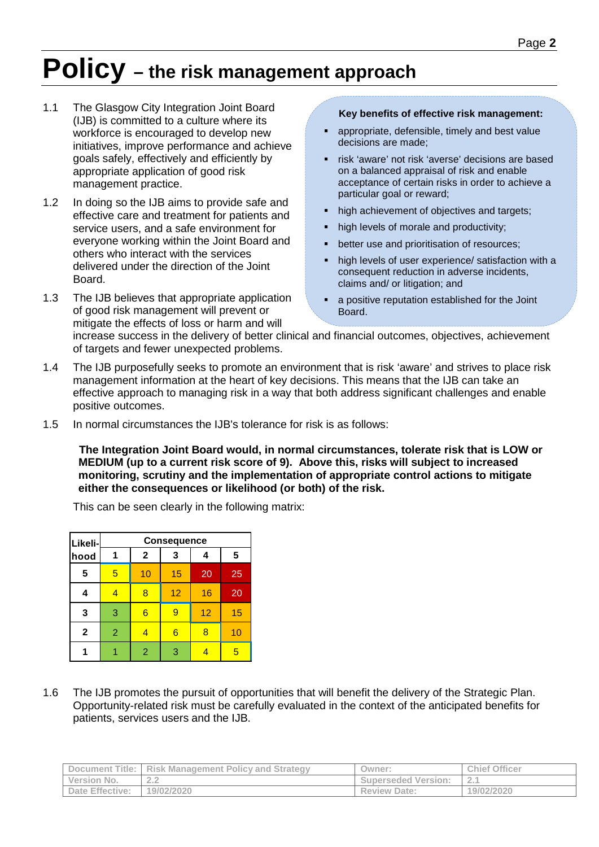## <span id="page-6-0"></span>**Policy – the risk management approach**

- 1.1 The Glasgow City Integration Joint Board (IJB) is committed to a culture where its workforce is encouraged to develop new initiatives, improve performance and achieve goals safely, effectively and efficiently by appropriate application of good risk management practice.
- 1.2 In doing so the IJB aims to provide safe and effective care and treatment for patients and service users, and a safe environment for everyone working within the Joint Board and others who interact with the services delivered under the direction of the Joint Board.
- 1.3 The IJB believes that appropriate application of good risk management will prevent or mitigate the effects of loss or harm and will

#### **Key benefits of effective risk management:**

- appropriate, defensible, timely and best value decisions are made;
- risk 'aware' not risk 'averse' decisions are based on a balanced appraisal of risk and enable acceptance of certain risks in order to achieve a particular goal or reward;
- high achievement of objectives and targets;
- high levels of morale and productivity;
- better use and prioritisation of resources;
- high levels of user experience/ satisfaction with a consequent reduction in adverse incidents, claims and/ or litigation; and
- a positive reputation established for the Joint Board.

increase success in the delivery of better clinical and financial outcomes, objectives, achievement of targets and fewer unexpected problems.

- 1.4 The IJB purposefully seeks to promote an environment that is risk 'aware' and strives to place risk management information at the heart of key decisions. This means that the IJB can take an effective approach to managing risk in a way that both address significant challenges and enable positive outcomes.
- 1.5 In normal circumstances the IJB's tolerance for risk is as follows:

**The Integration Joint Board would, in normal circumstances, tolerate risk that is LOW or MEDIUM (up to a current risk score of 9). Above this, risks will subject to increased monitoring, scrutiny and the implementation of appropriate control actions to mitigate either the consequences or likelihood (or both) of the risk.**

This can be seen clearly in the following matrix:

| Likeli-      | <b>Consequence</b> |                 |                 |    |                |
|--------------|--------------------|-----------------|-----------------|----|----------------|
| hood         | 1                  | $\mathbf{2}$    | 3               | 4  | $5\phantom{1}$ |
| 5            | $\overline{5}$     | 10              | 15              | 20 | 25             |
| 4            | $\overline{4}$     | 8               | 12              | 16 | 20             |
| $\mathbf{3}$ | 3                  | $6\phantom{1}6$ | 9               | 12 | 15             |
| $\mathbf{2}$ | $\overline{2}$     | 4               | $6\phantom{1}6$ | 8  | 10             |
|              |                    | $\overline{2}$  | 3               |    | 5              |

1.6 The IJB promotes the pursuit of opportunities that will benefit the delivery of the Strategic Plan. Opportunity-related risk must be carefully evaluated in the context of the anticipated benefits for patients, services users and the IJB.

|                        | Document Title:   Risk Management Policy and Strategy | Owner:                     | <b>Chief Officer</b> |
|------------------------|-------------------------------------------------------|----------------------------|----------------------|
| Version No.            | $\sim$ $\sim$<br>---                                  | <b>Superseded Version:</b> | z.,                  |
| <b>Date Effective:</b> | 19/02/2020                                            | <b>Review Date:</b>        | 19/02/2020           |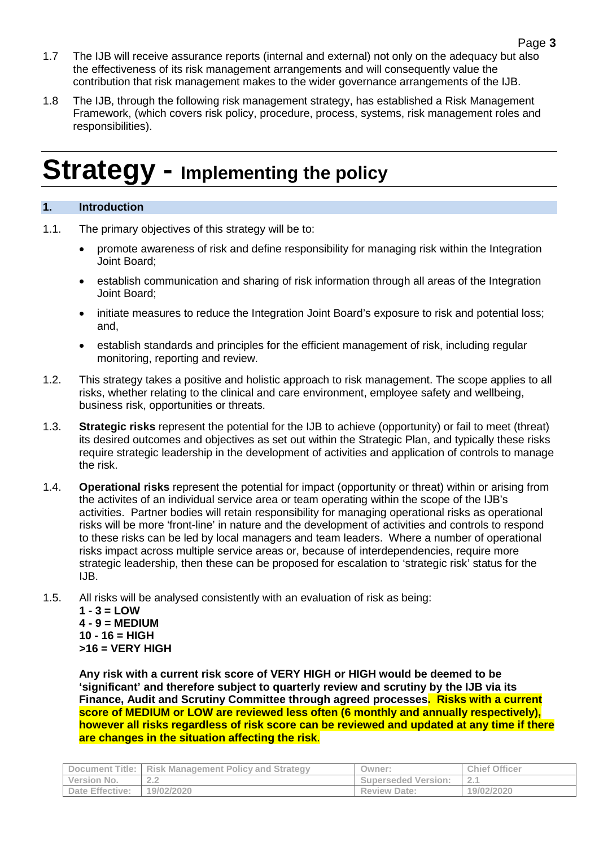- 1.7 The IJB will receive assurance reports (internal and external) not only on the adequacy but also the effectiveness of its risk management arrangements and will consequently value the contribution that risk management makes to the wider governance arrangements of the IJB.
- 1.8 The IJB, through the following risk management strategy, has established a Risk Management Framework, (which covers risk policy, procedure, process, systems, risk management roles and responsibilities).

## <span id="page-7-0"></span>**Strategy - Implementing the policy**

#### <span id="page-7-1"></span>**1. Introduction**

- 1.1. The primary objectives of this strategy will be to:
	- promote awareness of risk and define responsibility for managing risk within the Integration Joint Board;
	- establish communication and sharing of risk information through all areas of the Integration Joint Board;
	- initiate measures to reduce the Integration Joint Board's exposure to risk and potential loss; and,
	- establish standards and principles for the efficient management of risk, including regular monitoring, reporting and review.
- 1.2. This strategy takes a positive and holistic approach to risk management. The scope applies to all risks, whether relating to the clinical and care environment, employee safety and wellbeing, business risk, opportunities or threats.
- 1.3. **Strategic risks** represent the potential for the IJB to achieve (opportunity) or fail to meet (threat) its desired outcomes and objectives as set out within the Strategic Plan, and typically these risks require strategic leadership in the development of activities and application of controls to manage the risk.
- 1.4. **Operational risks** represent the potential for impact (opportunity or threat) within or arising from the activites of an individual service area or team operating within the scope of the IJB's activities. Partner bodies will retain responsibility for managing operational risks as operational risks will be more 'front-line' in nature and the development of activities and controls to respond to these risks can be led by local managers and team leaders. Where a number of operational risks impact across multiple service areas or, because of interdependencies, require more strategic leadership, then these can be proposed for escalation to 'strategic risk' status for the IJB.
- 1.5. All risks will be analysed consistently with an evaluation of risk as being:

 $1 - 3 =$  **LOW 4 - 9 = MEDIUM 10 - 16 = HIGH >16 = VERY HIGH**

**Any risk with a current risk score of VERY HIGH or HIGH would be deemed to be 'significant' and therefore subject to quarterly review and scrutiny by the IJB via its Finance, Audit and Scrutiny Committee through agreed processes. Risks with a current score of MEDIUM or LOW are reviewed less often (6 monthly and annually respectively), however all risks regardless of risk score can be reviewed and updated at any time if there are changes in the situation affecting the risk**.

| Document Title:        | <b>Risk Management Policy and Strategy</b> | Owner:                     | <b>Chief Officer</b> |
|------------------------|--------------------------------------------|----------------------------|----------------------|
| Version No.            | $\cap$ $\cap$<br>- -                       | <b>Superseded Version:</b> |                      |
| <b>Date Effective:</b> | 19/02/2020                                 | <b>Review Date:</b>        | 19/02/2020           |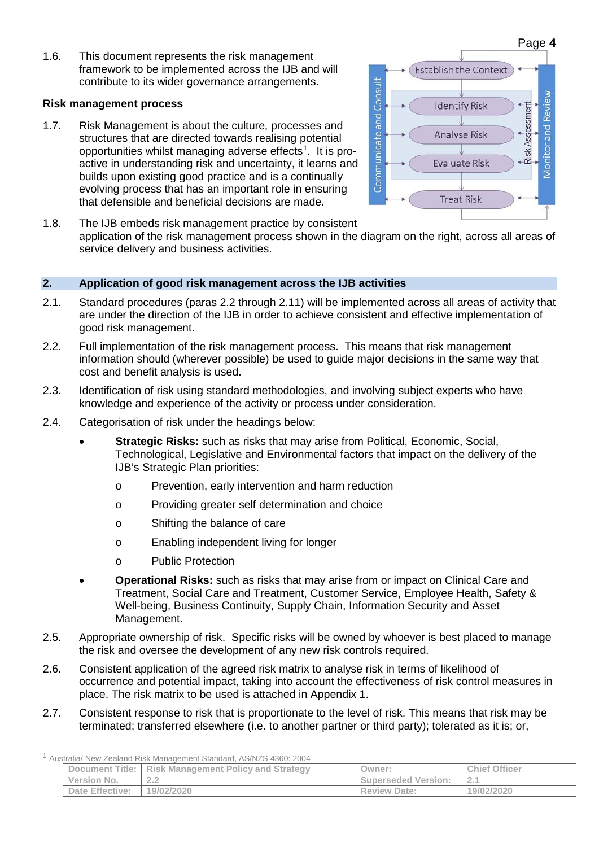1.6. This document represents the risk management framework to be implemented across the IJB and will contribute to its wider governance arrangements.

#### **Risk management process**

1.7. Risk Management is about the culture, processes and structures that are directed towards realising potential opportunities whilst managing adverse effects<sup>[1](#page-8-1)</sup>. It is proactive in understanding risk and uncertainty, it learns and builds upon existing good practice and is a continually evolving process that has an important role in ensuring that defensible and beneficial decisions are made.



1.8. The IJB embeds risk management practice by consistent application of the risk management process shown in the diagram on the right, across all areas of service delivery and business activities.

#### <span id="page-8-0"></span>**2. Application of good risk management across the IJB activities**

- 2.1. Standard procedures (paras 2.2 through 2.11) will be implemented across all areas of activity that are under the direction of the IJB in order to achieve consistent and effective implementation of good risk management.
- 2.2. Full implementation of the risk management process. This means that risk management information should (wherever possible) be used to guide major decisions in the same way that cost and benefit analysis is used.
- 2.3. Identification of risk using standard methodologies, and involving subject experts who have knowledge and experience of the activity or process under consideration.
- 2.4. Categorisation of risk under the headings below:
	- **Strategic Risks:** such as risks that may arise from Political, Economic, Social, Technological, Legislative and Environmental factors that impact on the delivery of the IJB's Strategic Plan priorities:
		- o Prevention, early intervention and harm reduction
		- o Providing greater self determination and choice
		- o Shifting the balance of care
		- o Enabling independent living for longer
		- o Public Protection
	- **Operational Risks:** such as risks that may arise from or impact on Clinical Care and Treatment, Social Care and Treatment, Customer Service, Employee Health, Safety & Well-being, Business Continuity, Supply Chain, Information Security and Asset Management.
- 2.5. Appropriate ownership of risk. Specific risks will be owned by whoever is best placed to manage the risk and oversee the development of any new risk controls required.
- 2.6. Consistent application of the agreed risk matrix to analyse risk in terms of likelihood of occurrence and potential impact, taking into account the effectiveness of risk control measures in place. The risk matrix to be used is attached in Appendix 1.
- 2.7. Consistent response to risk that is proportionate to the level of risk. This means that risk may be terminated; transferred elsewhere (i.e. to another partner or third party); tolerated as it is; or,

<span id="page-8-1"></span> <sup>1</sup> Australia/ New Zealand Risk Management Standard, AS/NZS 4360: 2004

| Document Title: I      | <b>Risk Management Policy and Strategy</b> | Owner:                     | <b>Chief Officer</b> |
|------------------------|--------------------------------------------|----------------------------|----------------------|
| Version No.            | $\sim$ $\sim$<br>- -                       | <b>Superseded Version:</b> | <u>_</u>             |
| <b>Date Effective:</b> | 19/02/2020                                 | <b>Review Date:</b>        | 19/02/2020           |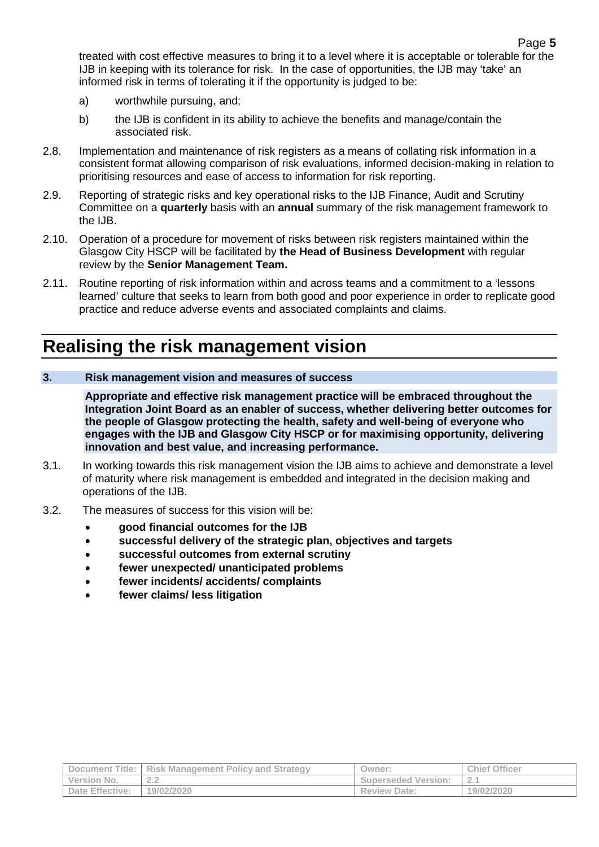treated with cost effective measures to bring it to a level where it is acceptable or tolerable for the IJB in keeping with its tolerance for risk. In the case of opportunities, the IJB may 'take' an informed risk in terms of tolerating it if the opportunity is judged to be:

- a) worthwhile pursuing, and;
- b) the IJB is confident in its ability to achieve the benefits and manage/contain the associated risk.
- 2.8. Implementation and maintenance of risk registers as a means of collating risk information in a consistent format allowing comparison of risk evaluations, informed decision-making in relation to prioritising resources and ease of access to information for risk reporting.
- 2.9. Reporting of strategic risks and key operational risks to the IJB Finance, Audit and Scrutiny Committee on a **quarterly** basis with an **annual** summary of the risk management framework to the IJB.
- 2.10. Operation of a procedure for movement of risks between risk registers maintained within the Glasgow City HSCP will be facilitated by **the Head of Business Development** with regular review by the **Senior Management Team.**
- 2.11. Routine reporting of risk information within and across teams and a commitment to a 'lessons learned' culture that seeks to learn from both good and poor experience in order to replicate good practice and reduce adverse events and associated complaints and claims.

## <span id="page-9-0"></span>**Realising the risk management vision**

#### <span id="page-9-1"></span>**3. Risk management vision and measures of success**

**Appropriate and effective risk management practice will be embraced throughout the Integration Joint Board as an enabler of success, whether delivering better outcomes for the people of Glasgow protecting the health, safety and well-being of everyone who engages with the IJB and Glasgow City HSCP or for maximising opportunity, delivering innovation and best value, and increasing performance.**

- 3.1. In working towards this risk management vision the IJB aims to achieve and demonstrate a level of maturity where risk management is embedded and integrated in the decision making and operations of the IJB.
- 3.2. The measures of success for this vision will be:
	- **good financial outcomes for the IJB**
	- **successful delivery of the strategic plan, objectives and targets**
	- **successful outcomes from external scrutiny**
	- **fewer unexpected/ unanticipated problems**
	- **fewer incidents/ accidents/ complaints**
	- **fewer claims/ less litigation**

|                        | Document Title:   Risk Management Policy and Strategy | Owner:                     | <b>Chief Officer</b> |
|------------------------|-------------------------------------------------------|----------------------------|----------------------|
| Version No.            | ---                                                   | <b>Superseded Version:</b> | $\sim$<br>z.         |
| <b>Date Effective:</b> | 19/02/2020                                            | <b>Review Date:</b>        | 19/02/2020           |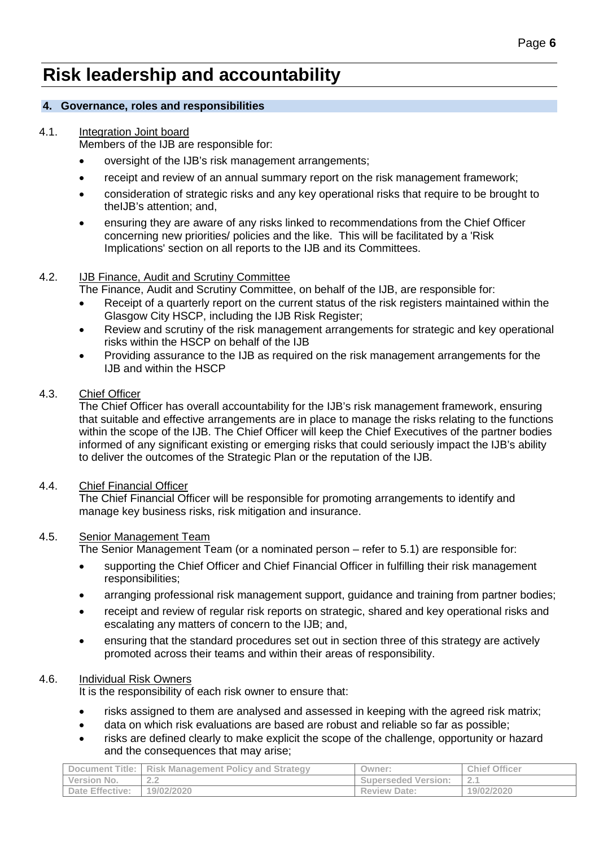## <span id="page-10-0"></span>**Risk leadership and accountability**

#### <span id="page-10-1"></span>**4. Governance, roles and responsibilities**

#### 4.1. Integration Joint board

Members of the IJB are responsible for:

- oversight of the IJB's risk management arrangements;
- receipt and review of an annual summary report on the risk management framework;
- consideration of strategic risks and any key operational risks that require to be brought to theIJB's attention; and,
- ensuring they are aware of any risks linked to recommendations from the Chief Officer concerning new priorities/ policies and the like. This will be facilitated by a 'Risk Implications' section on all reports to the IJB and its Committees.

#### 4.2. IJB Finance, Audit and Scrutiny Committee

The Finance, Audit and Scrutiny Committee, on behalf of the IJB, are responsible for:

- Receipt of a quarterly report on the current status of the risk registers maintained within the Glasgow City HSCP, including the IJB Risk Register;
- Review and scrutiny of the risk management arrangements for strategic and key operational risks within the HSCP on behalf of the IJB
- Providing assurance to the IJB as required on the risk management arrangements for the IJB and within the HSCP

#### 4.3. Chief Officer

The Chief Officer has overall accountability for the IJB's risk management framework, ensuring that suitable and effective arrangements are in place to manage the risks relating to the functions within the scope of the IJB. The Chief Officer will keep the Chief Executives of the partner bodies informed of any significant existing or emerging risks that could seriously impact the IJB's ability to deliver the outcomes of the Strategic Plan or the reputation of the IJB.

#### 4.4. Chief Financial Officer

The Chief Financial Officer will be responsible for promoting arrangements to identify and manage key business risks, risk mitigation and insurance.

#### 4.5. Senior Management Team

The Senior Management Team (or a nominated person – refer to 5.1) are responsible for:

- supporting the Chief Officer and Chief Financial Officer in fulfilling their risk management responsibilities;
- arranging professional risk management support, guidance and training from partner bodies;
- receipt and review of regular risk reports on strategic, shared and key operational risks and escalating any matters of concern to the IJB; and,
- ensuring that the standard procedures set out in section three of this strategy are actively promoted across their teams and within their areas of responsibility.

#### 4.6. Individual Risk Owners

It is the responsibility of each risk owner to ensure that:

- risks assigned to them are analysed and assessed in keeping with the agreed risk matrix;
- data on which risk evaluations are based are robust and reliable so far as possible;
- risks are defined clearly to make explicit the scope of the challenge, opportunity or hazard and the consequences that may arise;

|                 | Document Title:   Risk Management Policy and Strategy | Owner:                     | <b>Chief Officer</b> |
|-----------------|-------------------------------------------------------|----------------------------|----------------------|
| Version No.     | $\cap$ $\cap$<br>. .                                  | <b>Superseded Version:</b> | 2.1                  |
| Date Effective: | 19/02/2020                                            | <b>Review Date:</b>        | 19/02/2020           |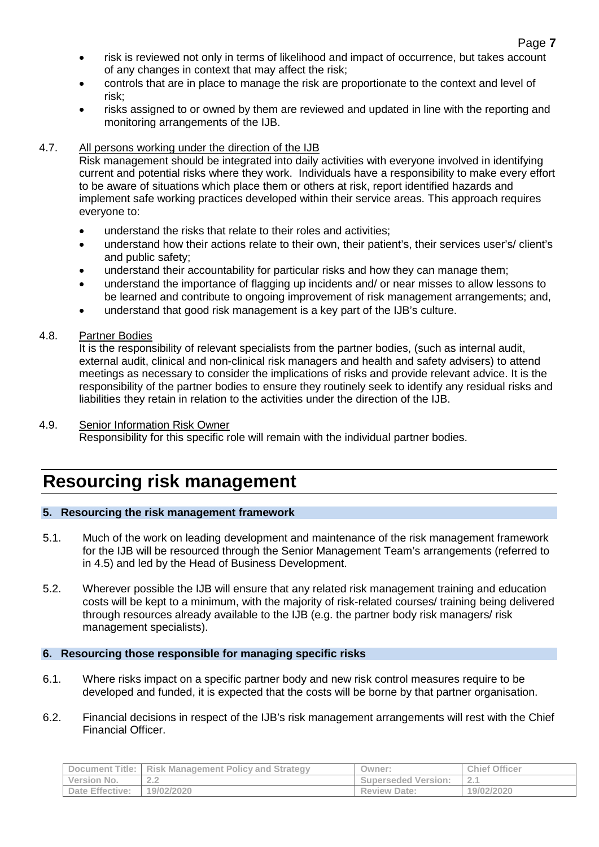- risk is reviewed not only in terms of likelihood and impact of occurrence, but takes account of any changes in context that may affect the risk;
- controls that are in place to manage the risk are proportionate to the context and level of risk;
- risks assigned to or owned by them are reviewed and updated in line with the reporting and monitoring arrangements of the IJB.

#### 4.7. All persons working under the direction of the IJB

Risk management should be integrated into daily activities with everyone involved in identifying current and potential risks where they work. Individuals have a responsibility to make every effort to be aware of situations which place them or others at risk, report identified hazards and implement safe working practices developed within their service areas. This approach requires everyone to:

- understand the risks that relate to their roles and activities;
- understand how their actions relate to their own, their patient's, their services user's/ client's and public safety;
- understand their accountability for particular risks and how they can manage them;
- understand the importance of flagging up incidents and/ or near misses to allow lessons to be learned and contribute to ongoing improvement of risk management arrangements; and,
- understand that good risk management is a key part of the IJB's culture.

#### 4.8. Partner Bodies

It is the responsibility of relevant specialists from the partner bodies, (such as internal audit, external audit, clinical and non-clinical risk managers and health and safety advisers) to attend meetings as necessary to consider the implications of risks and provide relevant advice. It is the responsibility of the partner bodies to ensure they routinely seek to identify any residual risks and liabilities they retain in relation to the activities under the direction of the IJB.

#### 4.9. Senior Information Risk Owner

Responsibility for this specific role will remain with the individual partner bodies.

### <span id="page-11-0"></span>**Resourcing risk management**

#### <span id="page-11-1"></span>**5. Resourcing the risk management framework**

- 5.1. Much of the work on leading development and maintenance of the risk management framework for the IJB will be resourced through the Senior Management Team's arrangements (referred to in 4.5) and led by the Head of Business Development.
- 5.2. Wherever possible the IJB will ensure that any related risk management training and education costs will be kept to a minimum, with the majority of risk-related courses/ training being delivered through resources already available to the IJB (e.g. the partner body risk managers/ risk management specialists).

#### <span id="page-11-2"></span>**6. Resourcing those responsible for managing specific risks**

- 6.1. Where risks impact on a specific partner body and new risk control measures require to be developed and funded, it is expected that the costs will be borne by that partner organisation.
- 6.2. Financial decisions in respect of the IJB's risk management arrangements will rest with the Chief Financial Officer.

| Document Title:        | <b>Risk Management Policy and Strategy</b> | Owner:                     | <b>Chief Officer</b> |
|------------------------|--------------------------------------------|----------------------------|----------------------|
| Version No.            | . . <u>.</u>                               | <b>Superseded Version:</b> | <u>_</u> _           |
| <b>Date Effective:</b> | 19/02/2020                                 | <b>Review Date:</b>        | 19/02/2020           |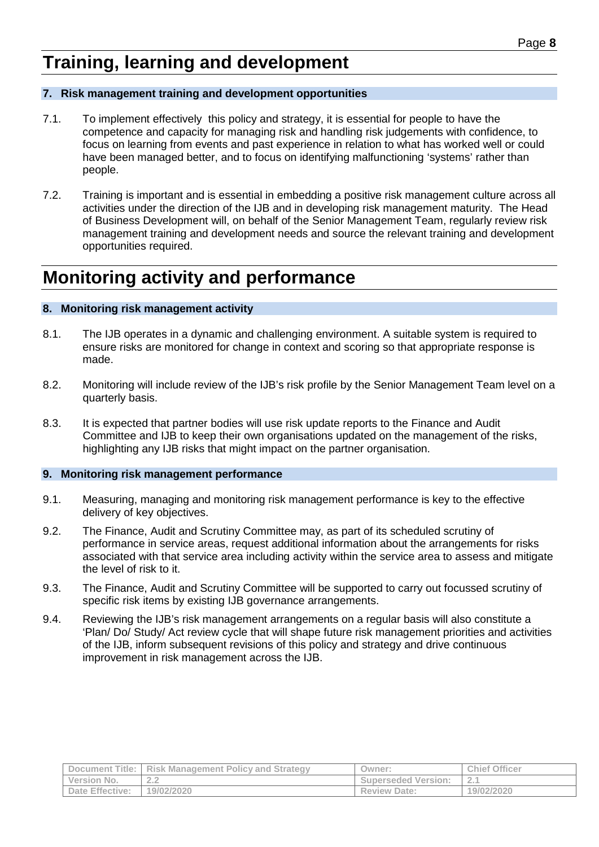### <span id="page-12-0"></span>**Training, learning and development**

#### <span id="page-12-1"></span>**7. Risk management training and development opportunities**

- 7.1. To implement effectively this policy and strategy, it is essential for people to have the competence and capacity for managing risk and handling risk judgements with confidence, to focus on learning from events and past experience in relation to what has worked well or could have been managed better, and to focus on identifying malfunctioning 'systems' rather than people.
- 7.2. Training is important and is essential in embedding a positive risk management culture across all activities under the direction of the IJB and in developing risk management maturity. The Head of Business Development will, on behalf of the Senior Management Team, regularly review risk management training and development needs and source the relevant training and development opportunities required.

### <span id="page-12-2"></span>**Monitoring activity and performance**

#### <span id="page-12-3"></span>**8. Monitoring risk management activity**

- 8.1. The IJB operates in a dynamic and challenging environment. A suitable system is required to ensure risks are monitored for change in context and scoring so that appropriate response is made.
- 8.2. Monitoring will include review of the IJB's risk profile by the Senior Management Team level on a quarterly basis.
- 8.3. It is expected that partner bodies will use risk update reports to the Finance and Audit Committee and IJB to keep their own organisations updated on the management of the risks, highlighting any IJB risks that might impact on the partner organisation.

#### <span id="page-12-4"></span>**9. Monitoring risk management performance**

- 9.1. Measuring, managing and monitoring risk management performance is key to the effective delivery of key objectives.
- 9.2. The Finance, Audit and Scrutiny Committee may, as part of its scheduled scrutiny of performance in service areas, request additional information about the arrangements for risks associated with that service area including activity within the service area to assess and mitigate the level of risk to it.
- 9.3. The Finance, Audit and Scrutiny Committee will be supported to carry out focussed scrutiny of specific risk items by existing IJB governance arrangements.
- 9.4. Reviewing the IJB's risk management arrangements on a regular basis will also constitute a 'Plan/ Do/ Study/ Act review cycle that will shape future risk management priorities and activities of the IJB, inform subsequent revisions of this policy and strategy and drive continuous improvement in risk management across the IJB.

|                 | <b>Document Title:</b> Risk Management Policy and Strategy | Owner:                     | <b>Chief Officer</b> |
|-----------------|------------------------------------------------------------|----------------------------|----------------------|
| Version No.     | .                                                          | <b>Superseded Version:</b> |                      |
| Date Effective: | 19/02/2020                                                 | <b>Review Date:</b>        | 19/02/2020           |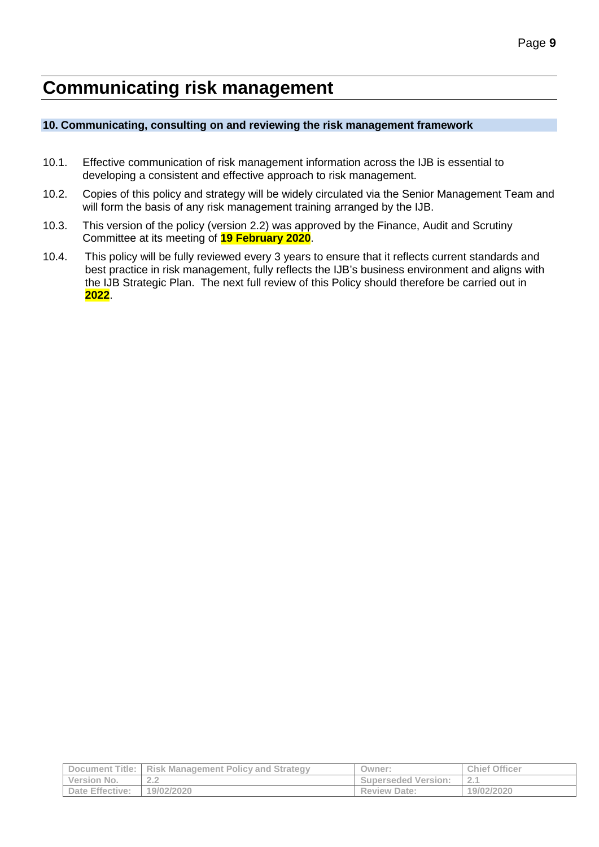## <span id="page-13-0"></span>**Communicating risk management**

#### <span id="page-13-1"></span>**10. Communicating, consulting on and reviewing the risk management framework**

- 10.1. Effective communication of risk management information across the IJB is essential to developing a consistent and effective approach to risk management.
- 10.2. Copies of this policy and strategy will be widely circulated via the Senior Management Team and will form the basis of any risk management training arranged by the IJB.
- 10.3. This version of the policy (version 2.2) was approved by the Finance, Audit and Scrutiny Committee at its meeting of **19 February 2020**.
- 10.4. This policy will be fully reviewed every 3 years to ensure that it reflects current standards and best practice in risk management, fully reflects the IJB's business environment and aligns with the IJB Strategic Plan. The next full review of this Policy should therefore be carried out in **2022**.

|                        | Document Title:   Risk Management Policy and Strategy | Owner:                     | <b>Chief Officer</b> |
|------------------------|-------------------------------------------------------|----------------------------|----------------------|
| Version No.            | $\cap$ $\cap$<br>- -                                  | <b>Superseded Version:</b> | $\sim$               |
| <b>Date Effective:</b> | 19/02/2020                                            | <b>Review Date:</b>        | 19/02/2020           |